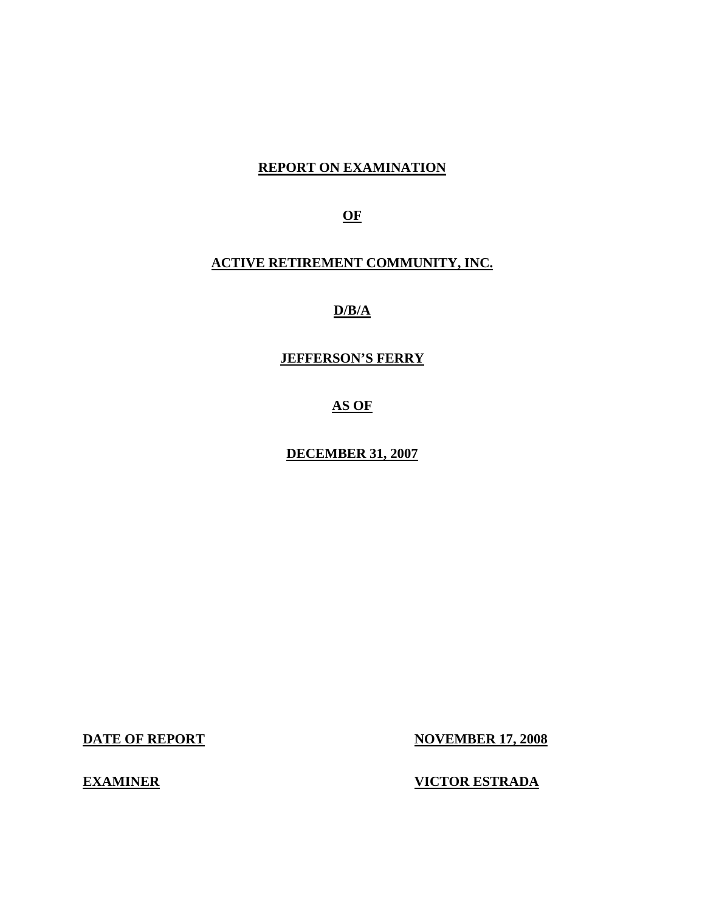### **REPORT ON EXAMINATION**

**OF** 

### **ACTIVE RETIREMENT COMMUNITY, INC.**

## **D/B/A**

### **JEFFERSON'S FERRY**

**AS OF** 

**DECEMBER 31, 2007** 

**DATE OF REPORT NOVEMBER 17, 2008** 

**EXAMINER VICTOR ESTRADA**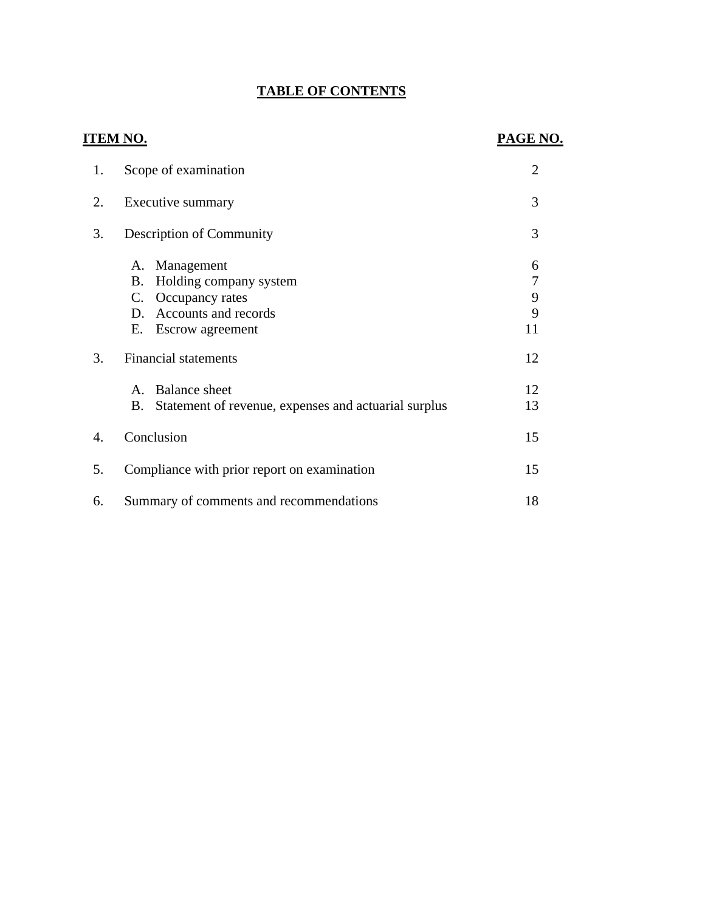## **TABLE OF CONTENTS**

## **ITEM NO. PAGE NO.**

| 1.               | Scope of examination                                                                                                           | $\overline{2}$         |
|------------------|--------------------------------------------------------------------------------------------------------------------------------|------------------------|
| 2.               | Executive summary                                                                                                              | 3                      |
| 3.               | Description of Community                                                                                                       |                        |
|                  | Management<br>Α.<br>Holding company system<br>B.<br>C. Occupancy rates<br>Accounts and records<br>D.<br>Е.<br>Escrow agreement | 6<br>7<br>9<br>9<br>11 |
| 3.               | <b>Financial statements</b>                                                                                                    | 12                     |
|                  | <b>Balance</b> sheet<br>$\mathbf{A}$<br>Statement of revenue, expenses and actuarial surplus<br>B.                             | 12<br>13               |
| $\overline{4}$ . | Conclusion                                                                                                                     | 15                     |
| 5.               | Compliance with prior report on examination                                                                                    | 15                     |
| 6.               | Summary of comments and recommendations                                                                                        |                        |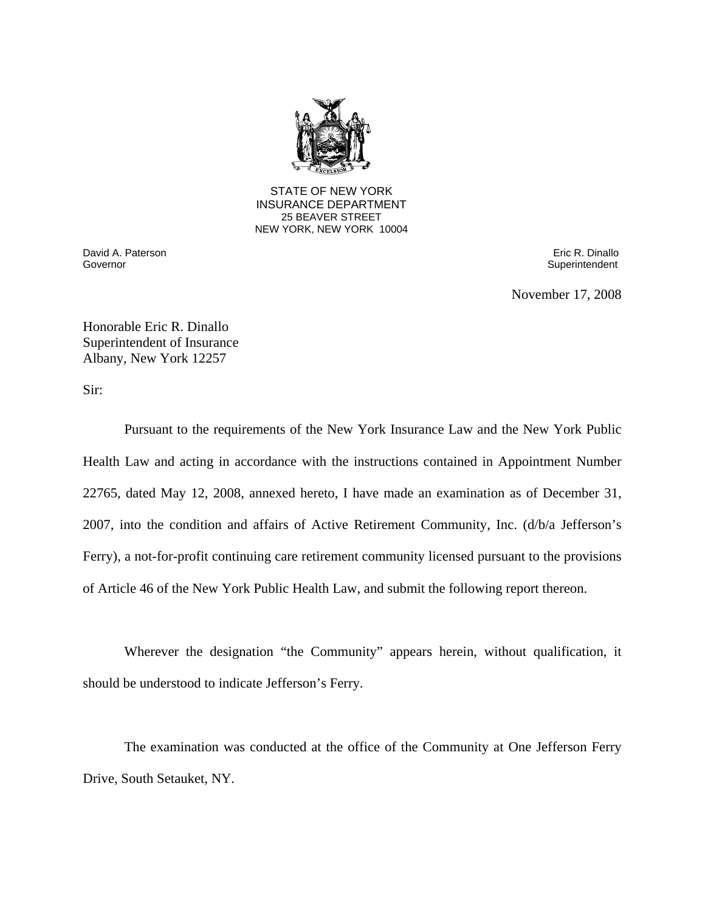

**25 BEAVER STREET** STATE OF NEW YORK INSURANCE DEPARTMENT NEW YORK, NEW YORK 10004

Governor David A. Paterson Eric R. Dinallo

Superintendent

November 17, 2008

Honorable Eric R. Dinallo Superintendent of Insurance Albany, New York 12257

Sir:

Pursuant to the requirements of the New York Insurance Law and the New York Public Health Law and acting in accordance with the instructions contained in Appointment Number 22765, dated May 12, 2008, annexed hereto, I have made an examination as of December 31, 2007, into the condition and affairs of Active Retirement Community, Inc. (d/b/a Jefferson's Ferry), a not-for-profit continuing care retirement community licensed pursuant to the provisions of Article 46 of the New York Public Health Law, and submit the following report thereon.

Wherever the designation "the Community" appears herein, without qualification, it should be understood to indicate Jefferson's Ferry.

The examination was conducted at the office of the Community at One Jefferson Ferry Drive, South Setauket, NY.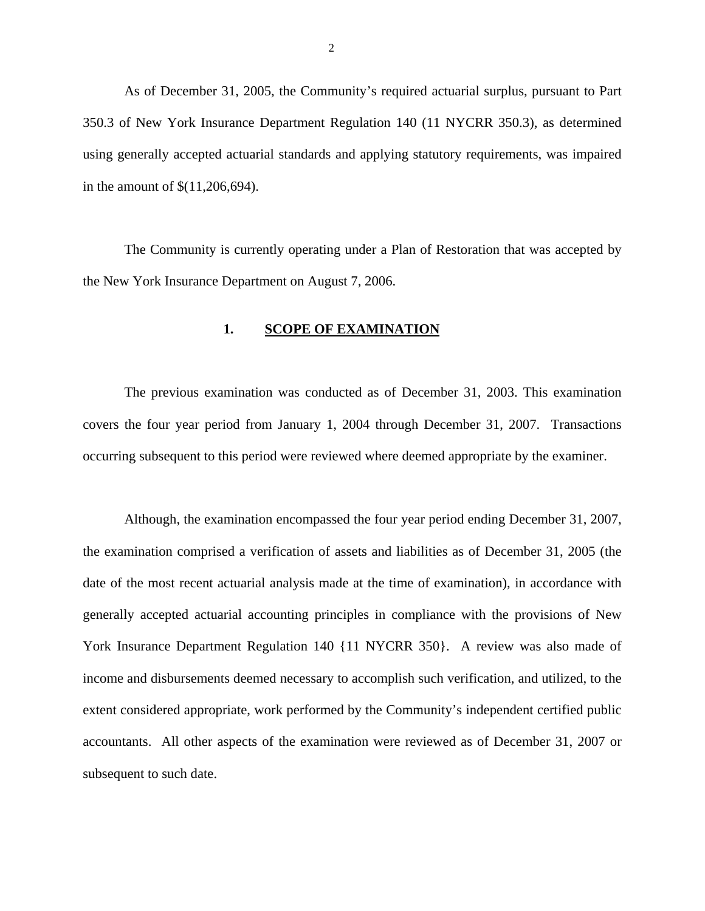<span id="page-3-0"></span>As of December 31, 2005, the Community's required actuarial surplus, pursuant to Part 350.3 of New York Insurance Department Regulation 140 (11 NYCRR 350.3), as determined using generally accepted actuarial standards and applying statutory requirements, was impaired in the amount of \$(11,206,694).

The Community is currently operating under a Plan of Restoration that was accepted by the New York Insurance Department on August 7, 2006.

#### **1. SCOPE OF EXAMINATION**

The previous examination was conducted as of December 31, 2003. This examination covers the four year period from January 1, 2004 through December 31, 2007. Transactions occurring subsequent to this period were reviewed where deemed appropriate by the examiner.

Although, the examination encompassed the four year period ending December 31, 2007, the examination comprised a verification of assets and liabilities as of December 31, 2005 (the date of the most recent actuarial analysis made at the time of examination), in accordance with generally accepted actuarial accounting principles in compliance with the provisions of New York Insurance Department Regulation 140 {11 NYCRR 350}. A review was also made of income and disbursements deemed necessary to accomplish such verification, and utilized, to the extent considered appropriate, work performed by the Community's independent certified public accountants. All other aspects of the examination were reviewed as of December 31, 2007 or subsequent to such date.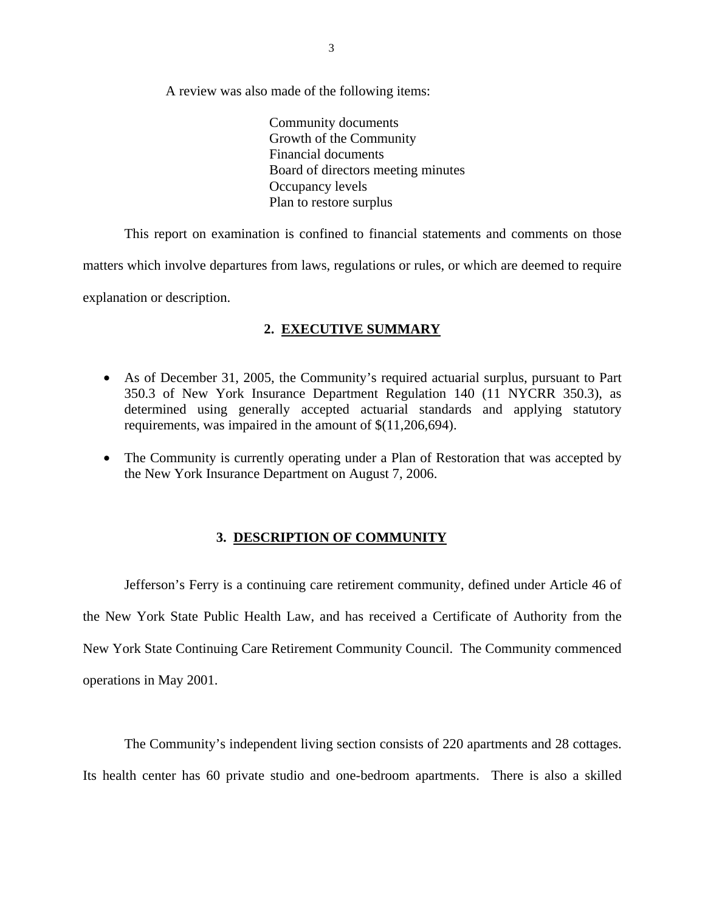<span id="page-4-0"></span>A review was also made of the following items:

Community documents Growth of the Community Financial documents Board of directors meeting minutes Occupancy levels Plan to restore surplus

This report on examination is confined to financial statements and comments on those matters which involve departures from laws, regulations or rules, or which are deemed to require explanation or description.

### **2. EXECUTIVE SUMMARY**

- As of December 31, 2005, the Community's required actuarial surplus, pursuant to Part 350.3 of New York Insurance Department Regulation 140 (11 NYCRR 350.3), as determined using generally accepted actuarial standards and applying statutory requirements, was impaired in the amount of \$(11,206,694).
- The Community is currently operating under a Plan of Restoration that was accepted by the New York Insurance Department on August 7, 2006.

#### **3. DESCRIPTION OF COMMUNITY**

Jefferson's Ferry is a continuing care retirement community, defined under Article 46 of the New York State Public Health Law, and has received a Certificate of Authority from the New York State Continuing Care Retirement Community Council. The Community commenced operations in May 2001.

 The Community's independent living section consists of 220 apartments and 28 cottages. Its health center has 60 private studio and one-bedroom apartments. There is also a skilled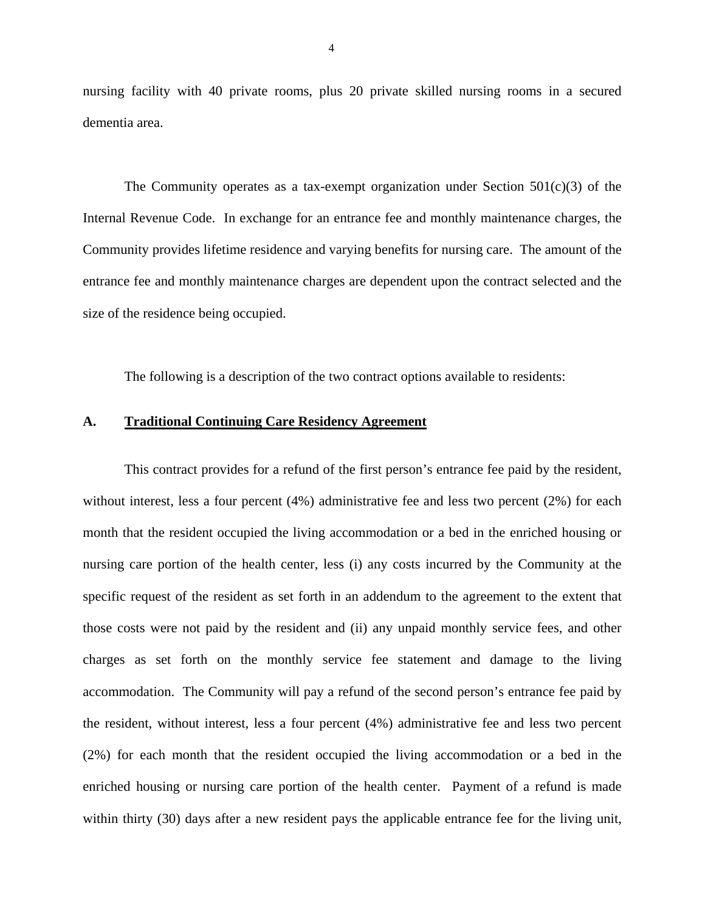nursing facility with 40 private rooms, plus 20 private skilled nursing rooms in a secured dementia area.

The Community operates as a tax-exempt organization under Section  $501(c)(3)$  of the Internal Revenue Code. In exchange for an entrance fee and monthly maintenance charges, the Community provides lifetime residence and varying benefits for nursing care. The amount of the entrance fee and monthly maintenance charges are dependent upon the contract selected and the size of the residence being occupied.

The following is a description of the two contract options available to residents:

#### **A. Traditional Continuing Care Residency Agreement**

This contract provides for a refund of the first person's entrance fee paid by the resident, without interest, less a four percent (4%) administrative fee and less two percent (2%) for each month that the resident occupied the living accommodation or a bed in the enriched housing or nursing care portion of the health center, less (i) any costs incurred by the Community at the specific request of the resident as set forth in an addendum to the agreement to the extent that those costs were not paid by the resident and (ii) any unpaid monthly service fees, and other charges as set forth on the monthly service fee statement and damage to the living accommodation. The Community will pay a refund of the second person's entrance fee paid by the resident, without interest, less a four percent (4%) administrative fee and less two percent (2%) for each month that the resident occupied the living accommodation or a bed in the enriched housing or nursing care portion of the health center. Payment of a refund is made within thirty (30) days after a new resident pays the applicable entrance fee for the living unit,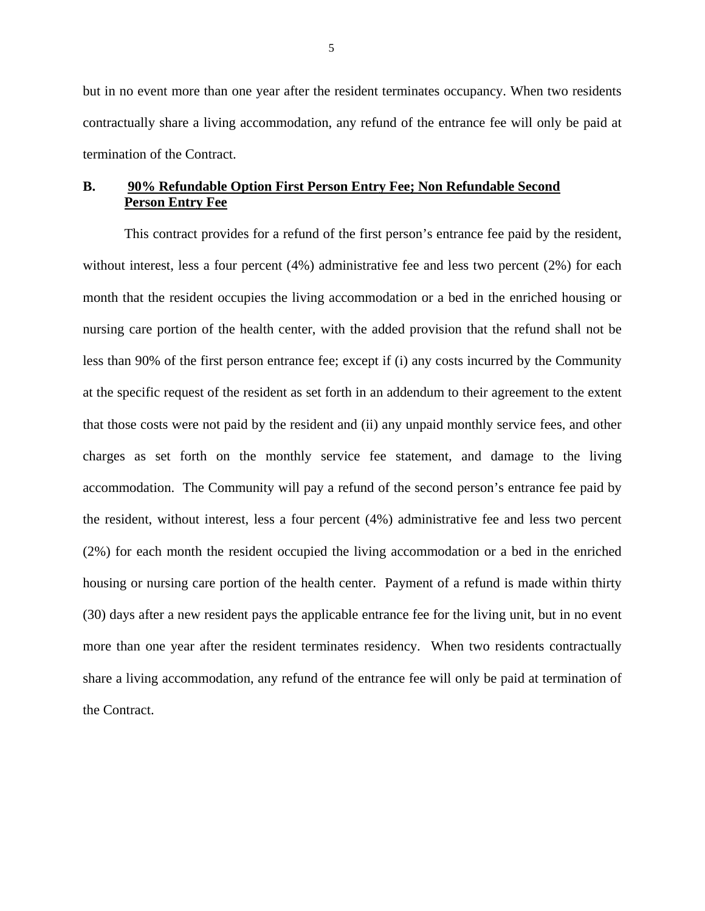but in no event more than one year after the resident terminates occupancy. When two residents contractually share a living accommodation, any refund of the entrance fee will only be paid at termination of the Contract.

### **B. 90% Refundable Option First Person Entry Fee; Non Refundable Second Person Entry Fee**

This contract provides for a refund of the first person's entrance fee paid by the resident, without interest, less a four percent (4%) administrative fee and less two percent (2%) for each month that the resident occupies the living accommodation or a bed in the enriched housing or nursing care portion of the health center, with the added provision that the refund shall not be less than 90% of the first person entrance fee; except if (i) any costs incurred by the Community at the specific request of the resident as set forth in an addendum to their agreement to the extent that those costs were not paid by the resident and (ii) any unpaid monthly service fees, and other charges as set forth on the monthly service fee statement, and damage to the living accommodation. The Community will pay a refund of the second person's entrance fee paid by the resident, without interest, less a four percent (4%) administrative fee and less two percent (2%) for each month the resident occupied the living accommodation or a bed in the enriched housing or nursing care portion of the health center. Payment of a refund is made within thirty (30) days after a new resident pays the applicable entrance fee for the living unit, but in no event more than one year after the resident terminates residency. When two residents contractually share a living accommodation, any refund of the entrance fee will only be paid at termination of the Contract.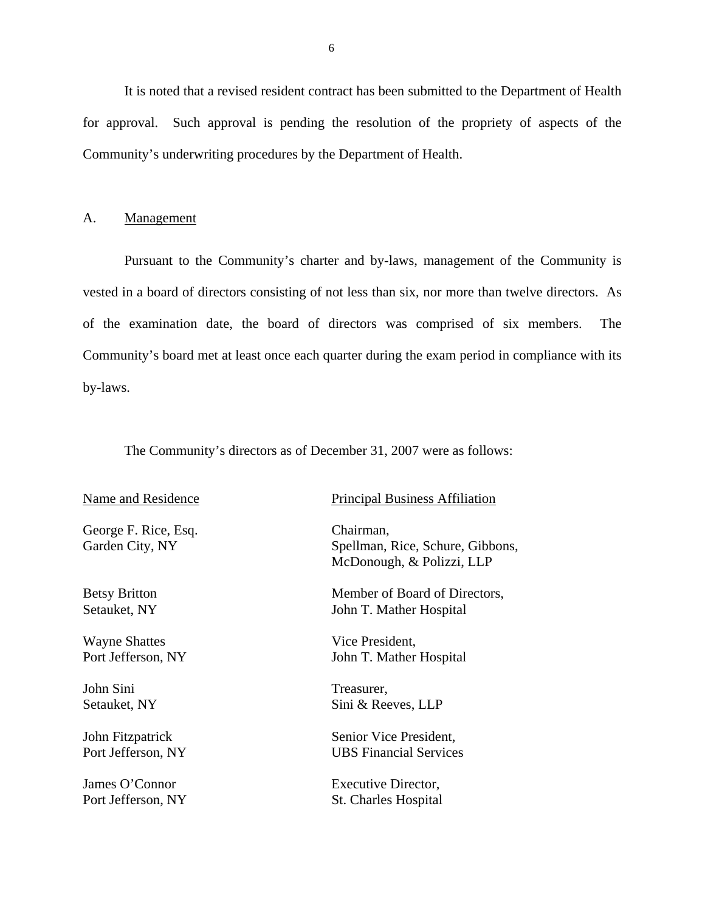<span id="page-7-0"></span>It is noted that a revised resident contract has been submitted to the Department of Health for approval. Such approval is pending the resolution of the propriety of aspects of the Community's underwriting procedures by the Department of Health.

#### A. Management

Pursuant to the Community's charter and by-laws, management of the Community is vested in a board of directors consisting of not less than six, nor more than twelve directors. As of the examination date, the board of directors was comprised of six members. The Community's board met at least once each quarter during the exam period in compliance with its by-laws.

The Community's directors as of December 31, 2007 were as follows:

#### Name and Residence

George F. Rice, Esq. Chairman,

Setauket, NY

Wayne Shattes Vice President,

John Sini Treasurer.

#### Principal Business Affiliation

Garden City, NY Spellman, Rice, Schure, Gibbons, McDonough, & Polizzi, LLP

Betsy Britton Member of Board of Directors, John T. Mather Hospital

Port Jefferson, NY John T. Mather Hospital

Setauket, NY Sini & Reeves, LLP

John Fitzpatrick Senior Vice President, Port Jefferson, NY UBS Financial Services

James O'Connor Executive Director, Port Jefferson, NY St. Charles Hospital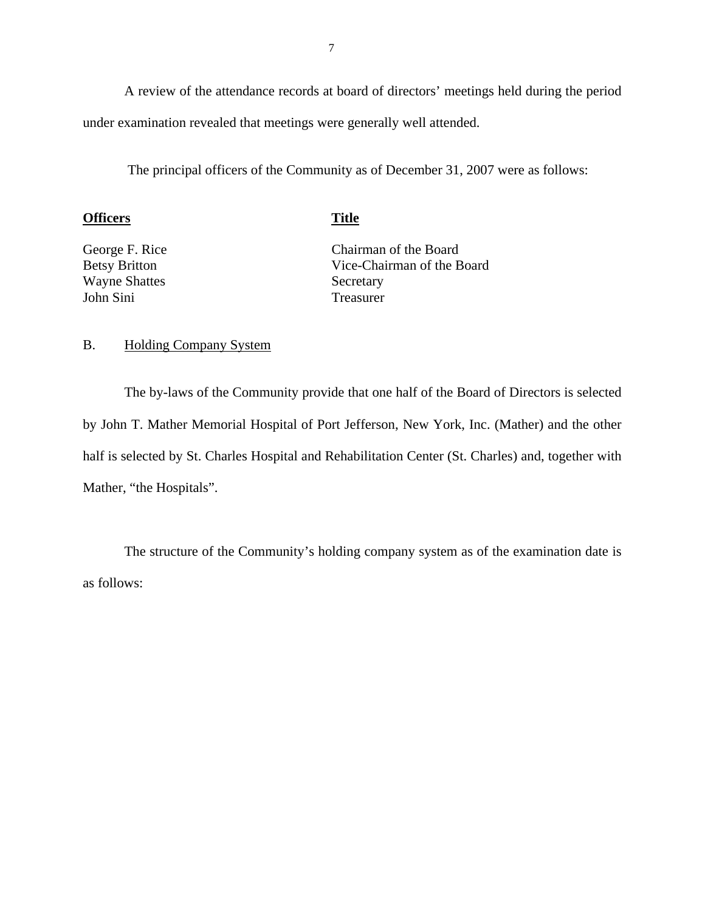A review of the attendance records at board of directors' meetings held during the period under examination revealed that meetings were generally well attended.

The principal officers of the Community as of December 31, 2007 were as follows:

#### **Officers** Title **Title**

George F. Rice Betsy Britton Wayne Shattes John Sini

Chairman of the Board Vice-Chairman of the Board Secretary Treasurer

#### B. Holding Company System

The by-laws of the Community provide that one half of the Board of Directors is selected by John T. Mather Memorial Hospital of Port Jefferson, New York, Inc. (Mather) and the other half is selected by St. Charles Hospital and Rehabilitation Center (St. Charles) and, together with Mather, "the Hospitals".

The structure of the Community's holding company system as of the examination date is as follows: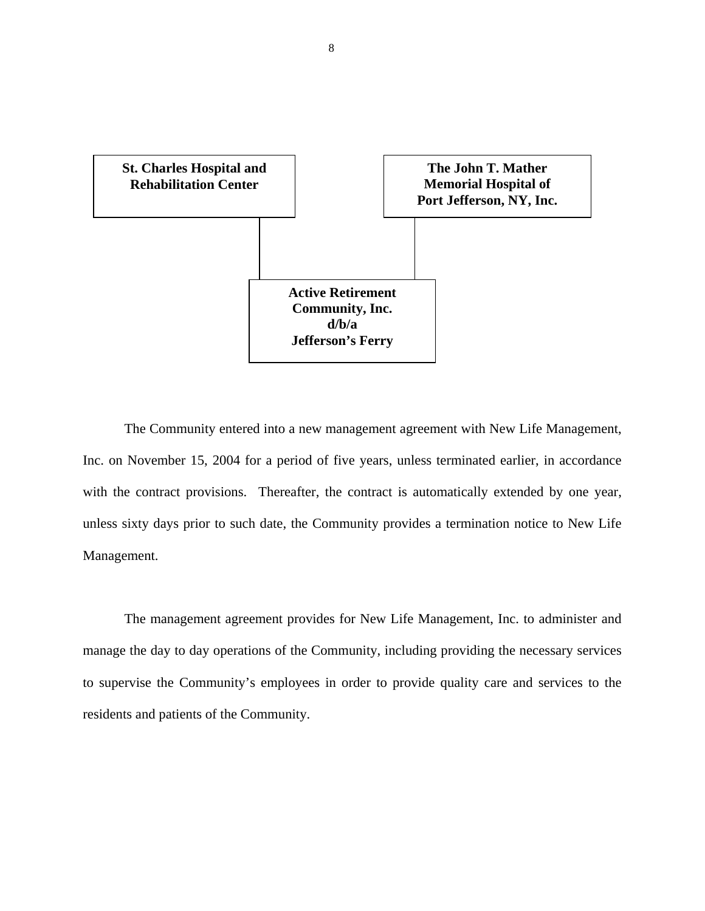

The Community entered into a new management agreement with New Life Management, Inc. on November 15, 2004 for a period of five years, unless terminated earlier, in accordance with the contract provisions. Thereafter, the contract is automatically extended by one year, unless sixty days prior to such date, the Community provides a termination notice to New Life Management.

The management agreement provides for New Life Management, Inc. to administer and manage the day to day operations of the Community, including providing the necessary services to supervise the Community's employees in order to provide quality care and services to the residents and patients of the Community.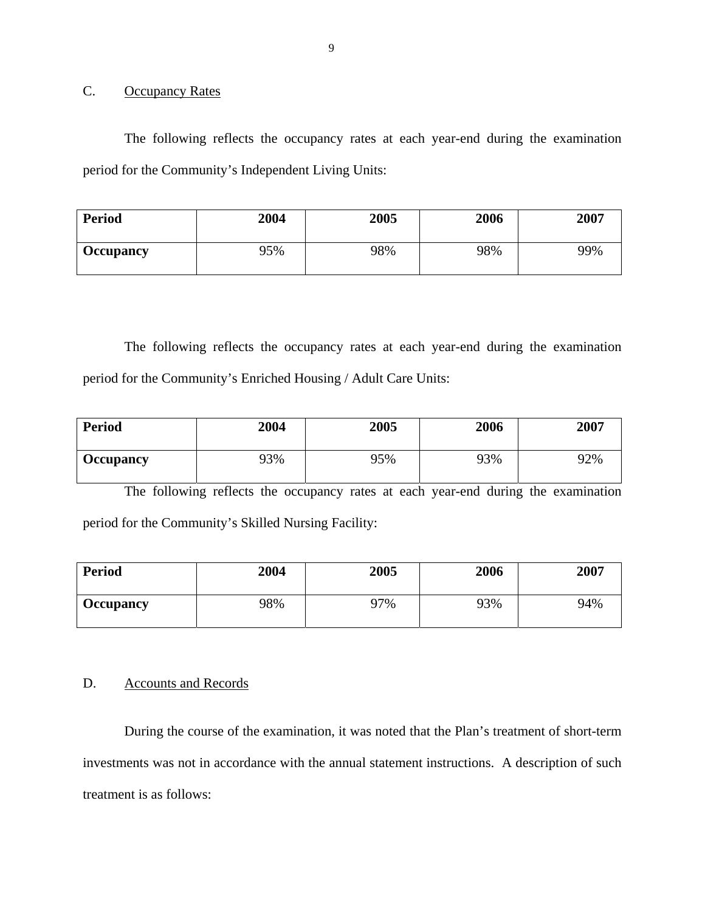### C. Occupancy Rates

The following reflects the occupancy rates at each year-end during the examination period for the Community's Independent Living Units:

| <b>Period</b>    | 2004 | 2005 | 2006 | 2007 |
|------------------|------|------|------|------|
| <b>Occupancy</b> | 95%  | 98%  | 98%  | 99%  |

The following reflects the occupancy rates at each year-end during the examination period for the Community's Enriched Housing / Adult Care Units:

| <b>Period</b>    | 2004 | 2005 | 2006 | 2007 |
|------------------|------|------|------|------|
| <b>Occupancy</b> | 93%  | 95%  | 93%  | 92%  |

The following reflects the occupancy rates at each year-end during the examination period for the Community's Skilled Nursing Facility:

| <b>Period</b> | 2004 | 2005 | 2006 | 2007 |
|---------------|------|------|------|------|
| Occupancy     | 98%  | 97%  | 93%  | 94%  |

#### D. Accounts and Records

During the course of the examination, it was noted that the Plan's treatment of short-term investments was not in accordance with the annual statement instructions. A description of such treatment is as follows: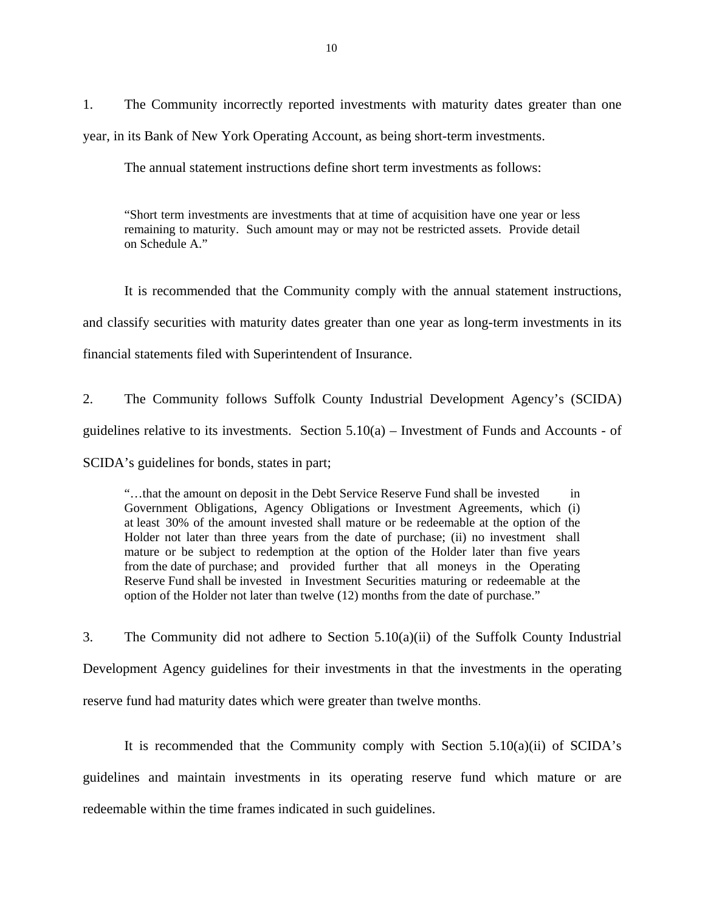1. The Community incorrectly reported investments with maturity dates greater than one year, in its Bank of New York Operating Account, as being short-term investments.

The annual statement instructions define short term investments as follows:

"Short term investments are investments that at time of acquisition have one year or less remaining to maturity. Such amount may or may not be restricted assets. Provide detail on Schedule A<sup>"</sup>

It is recommended that the Community comply with the annual statement instructions, and classify securities with maturity dates greater than one year as long-term investments in its financial statements filed with Superintendent of Insurance.

2. The Community follows Suffolk County Industrial Development Agency's (SCIDA) guidelines relative to its investments. Section  $5.10(a)$  – Investment of Funds and Accounts - of SCIDA's guidelines for bonds, states in part;

"…that the amount on deposit in the Debt Service Reserve Fund shall be invested in Government Obligations, Agency Obligations or Investment Agreements, which (i) at least 30% of the amount invested shall mature or be redeemable at the option of the Holder not later than three years from the date of purchase; (ii) no investment shall mature or be subject to redemption at the option of the Holder later than five years from the date of purchase; and provided further that all moneys in the Operating Reserve Fund shall be invested in Investment Securities maturing or redeemable at the option of the Holder not later than twelve (12) months from the date of purchase."

3. The Community did not adhere to Section 5.10(a)(ii) of the Suffolk County Industrial Development Agency guidelines for their investments in that the investments in the operating reserve fund had maturity dates which were greater than twelve months.

It is recommended that the Community comply with Section 5.10(a)(ii) of SCIDA's guidelines and maintain investments in its operating reserve fund which mature or are redeemable within the time frames indicated in such guidelines.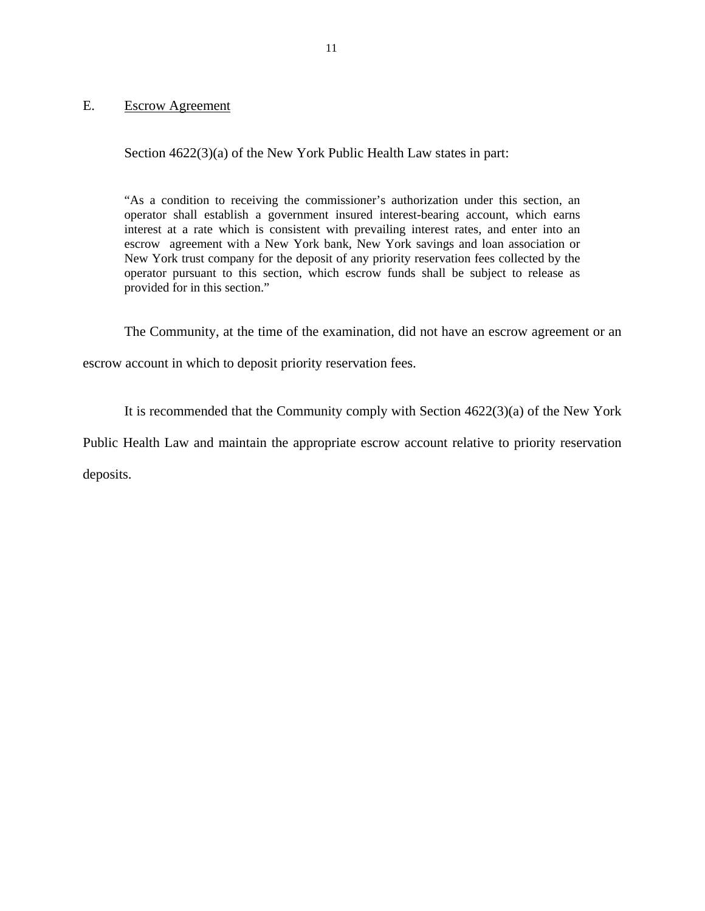#### <span id="page-12-0"></span>E. Escrow Agreement

Section  $4622(3)(a)$  of the New York Public Health Law states in part:

"As a condition to receiving the commissioner's authorization under this section, an operator shall establish a government insured interest-bearing account, which earns interest at a rate which is consistent with prevailing interest rates, and enter into an escrow agreement with a New York bank, New York savings and loan association or New York trust company for the deposit of any priority reservation fees collected by the operator pursuant to this section, which escrow funds shall be subject to release as provided for in this section."

The Community, at the time of the examination, did not have an escrow agreement or an

escrow account in which to deposit priority reservation fees.

It is recommended that the Community comply with Section 4622(3)(a) of the New York

Public Health Law and maintain the appropriate escrow account relative to priority reservation

deposits.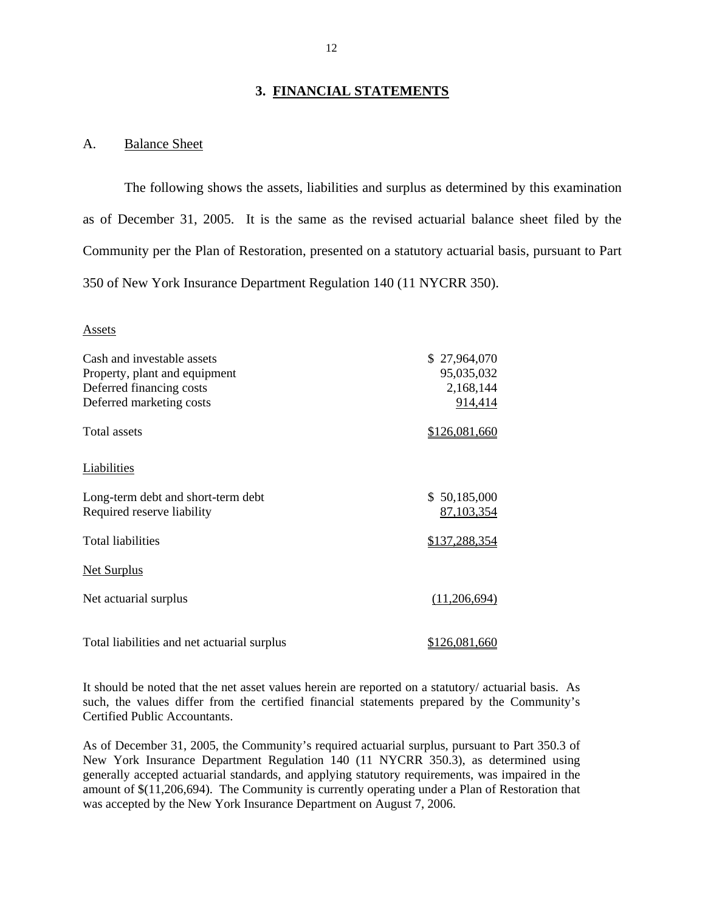#### **3. FINANCIAL STATEMENTS**

#### A. Balance Sheet

The following shows the assets, liabilities and surplus as determined by this examination as of December 31, 2005. It is the same as the revised actuarial balance sheet filed by the Community per the Plan of Restoration, presented on a statutory actuarial basis, pursuant to Part 350 of New York Insurance Department Regulation 140 (11 NYCRR 350).

#### Assets

| Cash and investable assets                  | \$27,964,070  |
|---------------------------------------------|---------------|
| Property, plant and equipment               | 95,035,032    |
| Deferred financing costs                    | 2,168,144     |
| Deferred marketing costs                    | 914,414       |
| <b>Total assets</b>                         | \$126,081,660 |
| <b>Liabilities</b>                          |               |
| Long-term debt and short-term debt          | \$50,185,000  |
| Required reserve liability                  | 87,103,354    |
| <b>Total liabilities</b>                    | \$137,288,354 |
| <b>Net Surplus</b>                          |               |
| Net actuarial surplus                       | (11,206,694)  |
| Total liabilities and net actuarial surplus | \$126,081,660 |

It should be noted that the net asset values herein are reported on a statutory/ actuarial basis. As such, the values differ from the certified financial statements prepared by the Community's Certified Public Accountants.

As of December 31, 2005, the Community's required actuarial surplus, pursuant to Part 350.3 of New York Insurance Department Regulation 140 (11 NYCRR 350.3), as determined using generally accepted actuarial standards, and applying statutory requirements, was impaired in the amount of \$(11,206,694). The Community is currently operating under a Plan of Restoration that was accepted by the New York Insurance Department on August 7, 2006.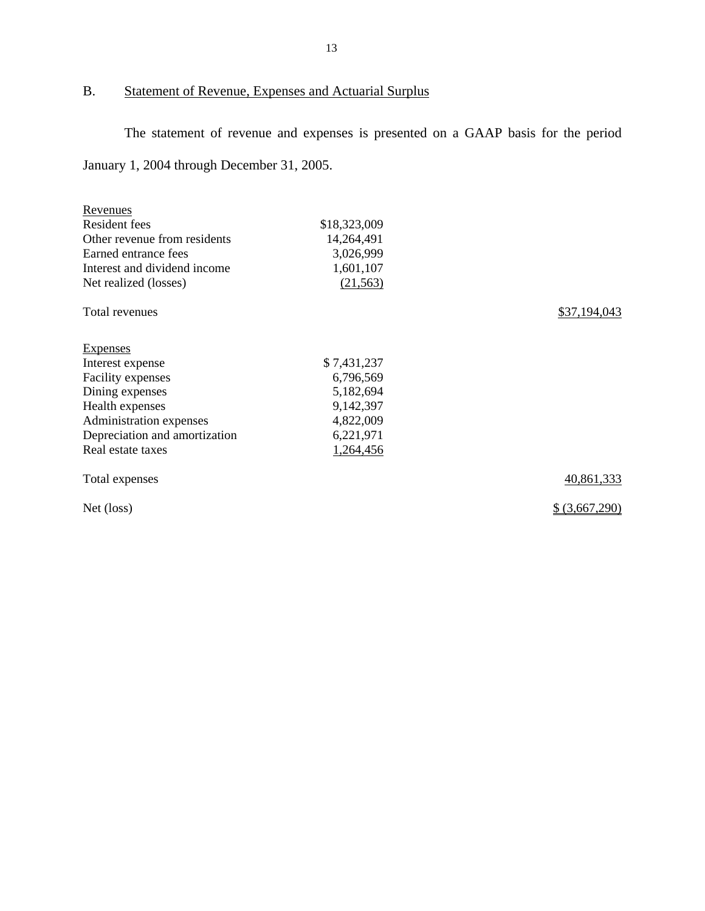## <span id="page-14-0"></span>B. Statement of Revenue, Expenses and Actuarial Surplus

The statement of revenue and expenses is presented on a GAAP basis for the period January 1, 2004 through December 31, 2005.

| Revenues                      |              |                |
|-------------------------------|--------------|----------------|
| Resident fees                 | \$18,323,009 |                |
| Other revenue from residents  | 14,264,491   |                |
| Earned entrance fees          | 3,026,999    |                |
| Interest and dividend income  | 1,601,107    |                |
| Net realized (losses)         | (21, 563)    |                |
| Total revenues                |              | \$37,194,043   |
| <b>Expenses</b>               |              |                |
| Interest expense              | \$7,431,237  |                |
| Facility expenses             | 6,796,569    |                |
| Dining expenses               | 5,182,694    |                |
| Health expenses               | 9,142,397    |                |
| Administration expenses       | 4,822,009    |                |
| Depreciation and amortization | 6,221,971    |                |
| Real estate taxes             | 1,264,456    |                |
| Total expenses                |              | 40,861,333     |
| Net (loss)                    |              | \$ (3,667,290) |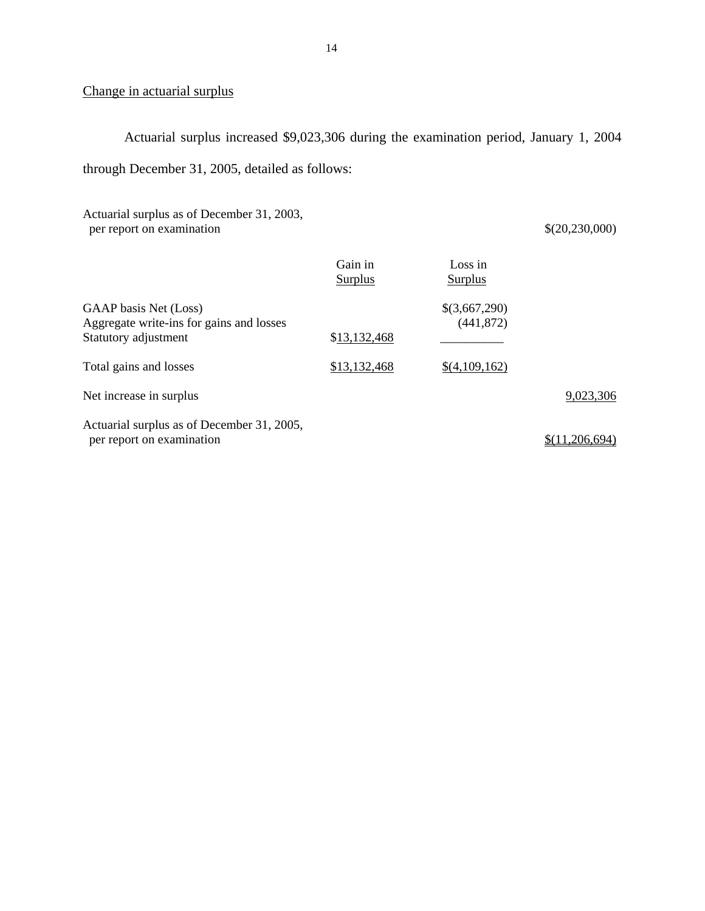## Change in actuarial surplus

Actuarial surplus increased \$9,023,306 during the examination period, January 1, 2004 through December 31, 2005, detailed as follows:

Actuarial surplus as of December 31, 2003, per report on examination  $\{(20,230,000)\}$ 

|                                                                                           | Gain in<br>Surplus | Loss in<br>Surplus          |                |
|-------------------------------------------------------------------------------------------|--------------------|-----------------------------|----------------|
| GAAP basis Net (Loss)<br>Aggregate write-ins for gains and losses<br>Statutory adjustment | \$13,132,468       | \$(3,667,290)<br>(441, 872) |                |
| Total gains and losses                                                                    | \$13,132,468       | \$(4,109,162)               |                |
| Net increase in surplus                                                                   |                    |                             | 9,023,306      |
| Actuarial surplus as of December 31, 2005,<br>per report on examination                   |                    |                             | \$(11.206.694) |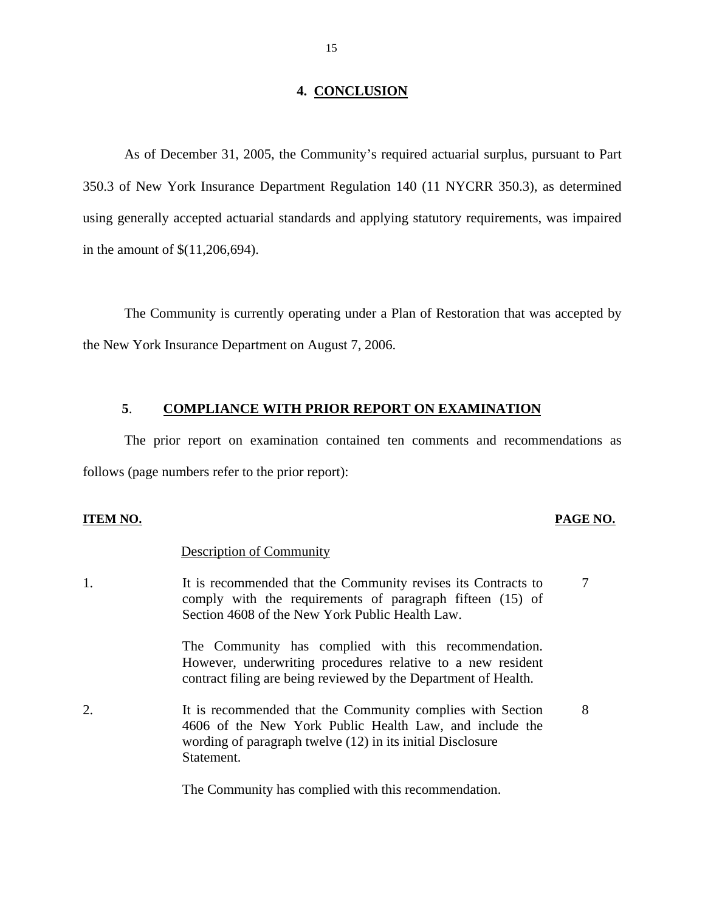#### **4. CONCLUSION**

As of December 31, 2005, the Community's required actuarial surplus, pursuant to Part 350.3 of New York Insurance Department Regulation 140 (11 NYCRR 350.3), as determined using generally accepted actuarial standards and applying statutory requirements, was impaired in the amount of \$(11,206,694).

The Community is currently operating under a Plan of Restoration that was accepted by the New York Insurance Department on August 7, 2006.

#### **5**. **COMPLIANCE WITH PRIOR REPORT ON EXAMINATION**

The prior report on examination contained ten comments and recommendations as follows (page numbers refer to the prior report):

#### **ITEM NO. PAGE NO. PAGE NO.**

8

#### Description of Community

1. It is recommended that the Community revises its Contracts to comply with the requirements of paragraph fifteen (15) of Section 4608 of the New York Public Health Law. 7

> The Community has complied with this recommendation. However, underwriting procedures relative to a new resident contract filing are being reviewed by the Department of Health.

 wording of paragraph twelve (12) in its initial Disclosure Statement. 2. It is recommended that the Community complies with Section 4606 of the New York Public Health Law, and include the

The Community has complied with this recommendation.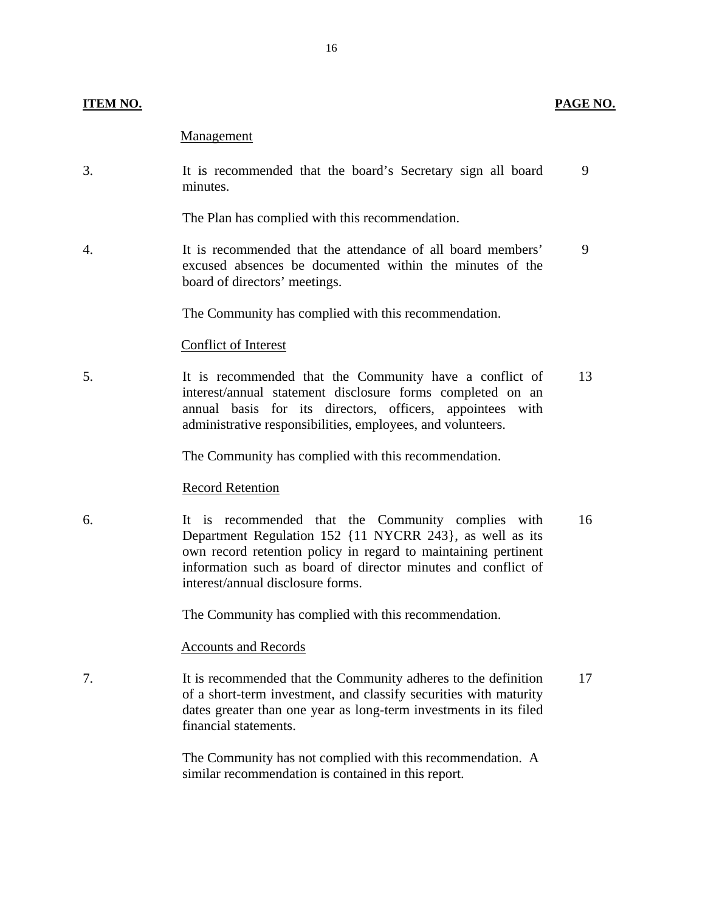#### **ITEM NO. PAGE NO.**

#### Management

3. It is recommended that the board's Secretary sign all board 9 minutes.

The Plan has complied with this recommendation.

4. It is recommended that the attendance of all board members' 9 excused absences be documented within the minutes of the board of directors' meetings.

The Community has complied with this recommendation.

#### Conflict of Interest

5. It is recommended that the Community have a conflict of 13 interest/annual statement disclosure forms completed on an annual basis for its directors, officers, appointees with administrative responsibilities, employees, and volunteers.

The Community has complied with this recommendation.

#### Record Retention

6. It is recommended that the Community complies with 16 Department Regulation 152 {11 NYCRR 243}, as well as its own record retention policy in regard to maintaining pertinent information such as board of director minutes and conflict of interest/annual disclosure forms.

The Community has complied with this recommendation.

#### Accounts and Records

7. It is recommended that the Community adheres to the definition 17 of a short-term investment, and classify securities with maturity dates greater than one year as long-term investments in its filed financial statements.

> The Community has not complied with this recommendation. A similar recommendation is contained in this report.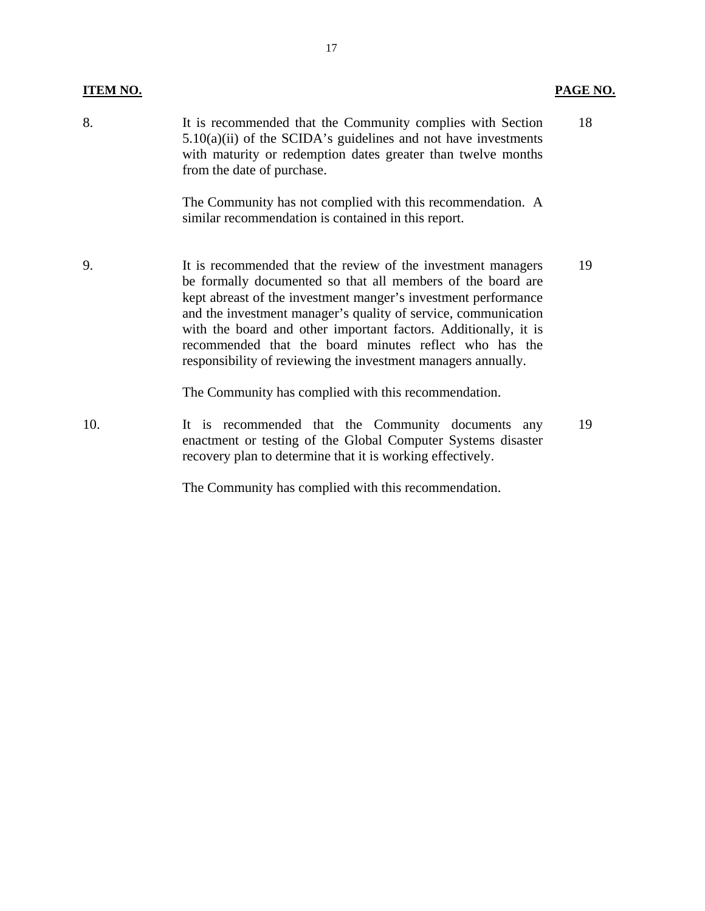## **ITEM NO. PAGE NO.**

| 8.  | It is recommended that the Community complies with Section<br>$5.10(a)(ii)$ of the SCIDA's guidelines and not have investments<br>with maturity or redemption dates greater than twelve months<br>from the date of purchase.                                                                                                                                                                                                                                  | 18 |
|-----|---------------------------------------------------------------------------------------------------------------------------------------------------------------------------------------------------------------------------------------------------------------------------------------------------------------------------------------------------------------------------------------------------------------------------------------------------------------|----|
|     | The Community has not complied with this recommendation. A<br>similar recommendation is contained in this report.                                                                                                                                                                                                                                                                                                                                             |    |
| 9.  | It is recommended that the review of the investment managers<br>be formally documented so that all members of the board are<br>kept abreast of the investment manger's investment performance<br>and the investment manager's quality of service, communication<br>with the board and other important factors. Additionally, it is<br>recommended that the board minutes reflect who has the<br>responsibility of reviewing the investment managers annually. | 19 |
|     | The Community has complied with this recommendation.                                                                                                                                                                                                                                                                                                                                                                                                          |    |
| 10. | It is recommended that the Community documents<br>any<br>enactment or testing of the Global Computer Systems disaster<br>recovery plan to determine that it is working effectively.                                                                                                                                                                                                                                                                           | 19 |

The Community has complied with this recommendation.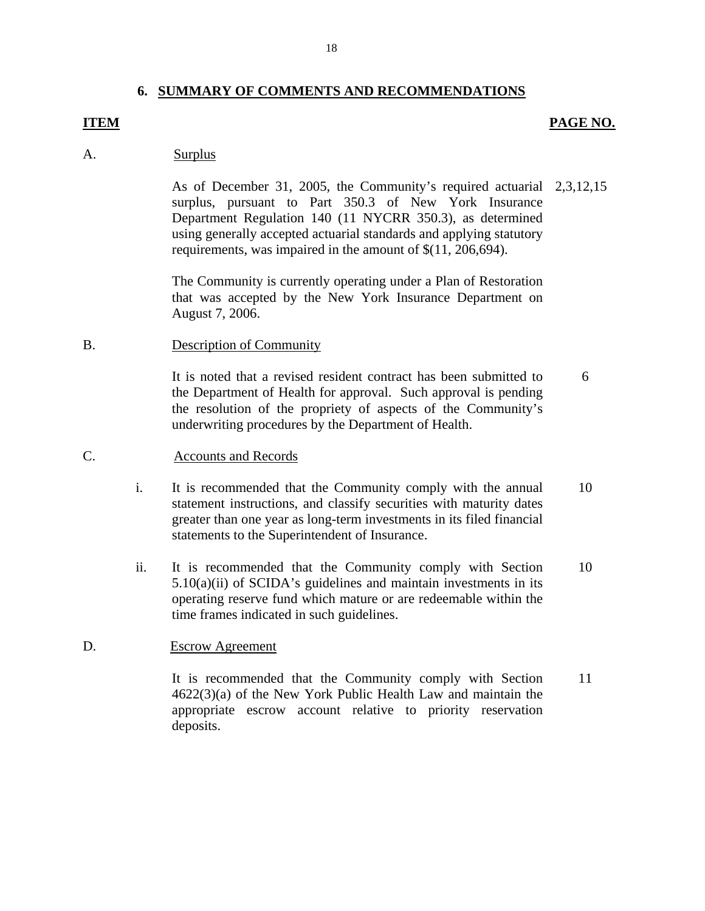#### **6. SUMMARY OF COMMENTS AND RECOMMENDATIONS**

#### **ITEM**

#### **PAGE NO.**

#### Surplus A.

As of December 31, 2005, the Community's required actuarial  $2,3,12,15$ surplus, pursuant to Part 350.3 of New York Insurance Department Regulation 140 (11 NYCRR 350.3), as determined using generally accepted actuarial standards and applying statutory requirements, was impaired in the amount of \$(11, 206,694). As of December 31, 2005, the Community's required actuarial 2,3,12,15<br>surplus, pursuant to Part 350.3 of New York Insurance<br>Department Regulation 140 (11 NYCRR 350.3), as determined<br>using generally accepted actuarial stand

The Community is currently operating under a Plan of Restoration that was accepted by the New York Insurance Department on August 7, 2006.

#### B. Description of Community

It is noted that a revised resident contract has been submitted to the Department of Health for approval. Such approval is pending the resolution of the propriety of aspects of the Community's underwriting procedures by the Department of Health. 6

#### **Accounts and Records** C.

- i. It is recommended that the Community comply with the annual statement instructions, and classify securities with maturity dates greater than one year as long-term investments in its filed financial statements to the Superintendent of Insurance. 10
- ii. It is recommended that the Community comply with Section  $5.10(a)(ii)$  of SCIDA's guidelines and maintain investments in its operating reserve fund which mature or are redeemable within the time frames indicated in such guidelines. 10

#### D. Escrow Agreement

It is recommended that the Community comply with Section 4622(3)(a) of the New York Public Health Law and maintain the appropriate escrow account relative to priority reservation deposits. 11